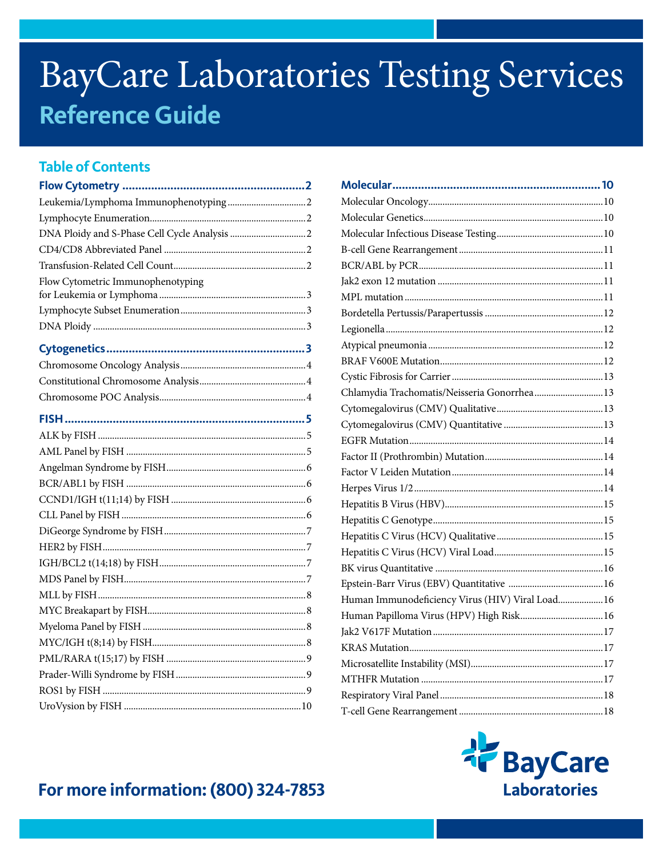# **BayCare Laboratories Testing Services Reference Guide**

# **Table of Contents**

| Flow Cytometric Immunophenotyping |  |
|-----------------------------------|--|
|                                   |  |
|                                   |  |
|                                   |  |
|                                   |  |
|                                   |  |
|                                   |  |
|                                   |  |
|                                   |  |
|                                   |  |
|                                   |  |
|                                   |  |
|                                   |  |
|                                   |  |
|                                   |  |
|                                   |  |
|                                   |  |
|                                   |  |
|                                   |  |
|                                   |  |
|                                   |  |
|                                   |  |
|                                   |  |
|                                   |  |
|                                   |  |
|                                   |  |
|                                   |  |

| Chlamydia Trachomatis/Neisseria Gonorrhea  13    |  |
|--------------------------------------------------|--|
|                                                  |  |
|                                                  |  |
|                                                  |  |
|                                                  |  |
|                                                  |  |
|                                                  |  |
|                                                  |  |
|                                                  |  |
|                                                  |  |
|                                                  |  |
|                                                  |  |
|                                                  |  |
| Human Immunodeficiency Virus (HIV) Viral Load 16 |  |
| Human Papilloma Virus (HPV) High Risk 16         |  |
|                                                  |  |
|                                                  |  |
|                                                  |  |
|                                                  |  |
|                                                  |  |
|                                                  |  |



# For more information: (800) 324-7853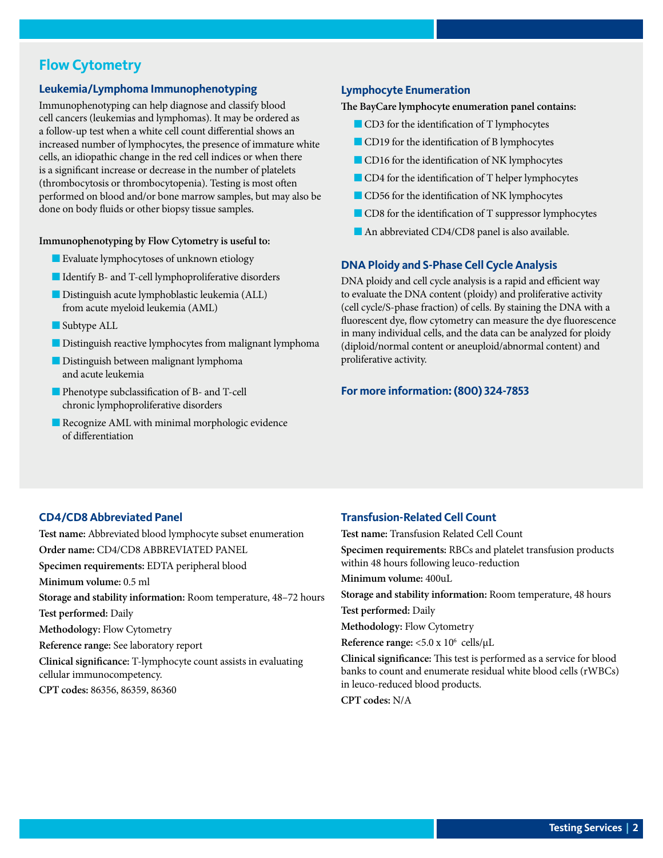## <span id="page-1-0"></span>**Flow Cytometry**

#### **Leukemia/Lymphoma Immunophenotyping**

Immunophenotyping can help diagnose and classify blood cell cancers (leukemias and lymphomas). It may be ordered as a follow-up test when a white cell count differential shows an increased number of lymphocytes, the presence of immature white cells, an idiopathic change in the red cell indices or when there is a significant increase or decrease in the number of platelets (thrombocytosis or thrombocytopenia). Testing is most often performed on blood and/or bone marrow samples, but may also be done on body fluids or other biopsy tissue samples.

#### **Immunophenotyping by Flow Cytometry is useful to:**

- **n** Evaluate lymphocytoses of unknown etiology
- Identify B- and T-cell lymphoproliferative disorders
- $\blacksquare$  Distinguish acute lymphoblastic leukemia (ALL) from acute myeloid leukemia (AML)
- $\blacksquare$  Subtype ALL
- **n** Distinguish reactive lymphocytes from malignant lymphoma
- **n** Distinguish between malignant lymphoma and acute leukemia
- **n** Phenotype subclassification of B- and T-cell chronic lymphoproliferative disorders
- $\blacksquare$  Recognize AML with minimal morphologic evidence of differentiation

#### **Lymphocyte Enumeration**

**The BayCare lymphocyte enumeration panel contains:**

- CD3 for the identification of T lymphocytes
- CD19 for the identification of B lymphocytes
- **n** CD16 for the identification of NK lymphocytes
- **n** CD4 for the identification of T helper lymphocytes
- **n** CD56 for the identification of NK lymphocytes
- $\blacksquare$  CD8 for the identification of T suppressor lymphocytes
- An abbreviated CD4/CD8 panel is also available.

#### **DNA Ploidy and S-Phase Cell Cycle Analysis**

DNA ploidy and cell cycle analysis is a rapid and efficient way to evaluate the DNA content (ploidy) and proliferative activity (cell cycle/S-phase fraction) of cells. By staining the DNA with a fluorescent dye, flow cytometry can measure the dye fluorescence in many individual cells, and the data can be analyzed for ploidy (diploid/normal content or aneuploid/abnormal content) and proliferative activity.

#### **For more information: (800) 324-7853**

#### **CD4/CD8 Abbreviated Panel**

**Test name:** Abbreviated blood lymphocyte subset enumeration **Order name:** CD4/CD8 ABBREVIATED PANEL **Specimen requirements:** EDTA peripheral blood **Minimum volume:** 0.5 ml **Storage and stability information:** Room temperature, 48–72 hours **Test performed:** Daily **Methodology:** Flow Cytometry **Reference range:** See laboratory report **Clinical significance:** T-lymphocyte count assists in evaluating cellular immunocompetency. **CPT codes:** 86356, 86359, 86360

#### **Transfusion-Related Cell Count**

**Test name:** Transfusion Related Cell Count

**Specimen requirements:** RBCs and platelet transfusion products within 48 hours following leuco-reduction

**Minimum volume:** 400uL

**Storage and stability information:** Room temperature, 48 hours

**Test performed:** Daily

**Methodology:** Flow Cytometry

Reference range: <5.0 x  $10^6$  cells/µL

**Clinical significance:** This test is performed as a service for blood banks to count and enumerate residual white blood cells (rWBCs) in leuco-reduced blood products.

**CPT codes:** N/A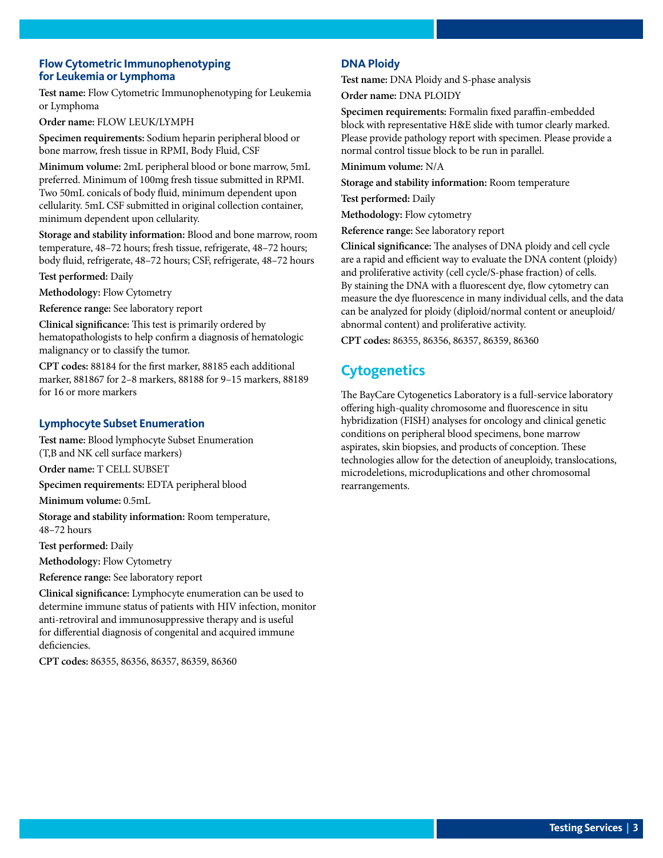#### <span id="page-2-0"></span>**Flow Cytometric Immunophenotyping for Leukemia or Lymphoma**

**Test name:** Flow Cytometric Immunophenotyping for Leukemia or Lymphoma

**Order name:** FLOW LEUK/LYMPH

**Specimen requirements:** Sodium heparin peripheral blood or bone marrow, fresh tissue in RPMI, Body Fluid, CSF

**Minimum volume:** 2mL peripheral blood or bone marrow, 5mL preferred. Minimum of 100mg fresh tissue submitted in RPMI. Two 50mL conicals of body fluid, minimum dependent upon cellularity. 5mL CSF submitted in original collection container, minimum dependent upon cellularity.

**Storage and stability information:** Blood and bone marrow, room temperature, 48–72 hours; fresh tissue, refrigerate, 48–72 hours; body fluid, refrigerate, 48–72 hours; CSF, refrigerate, 48–72 hours

**Test performed:** Daily

**Methodology:** Flow Cytometry

**Reference range:** See laboratory report

**Clinical significance:** This test is primarily ordered by hematopathologists to help confirm a diagnosis of hematologic malignancy or to classify the tumor.

**CPT codes:** 88184 for the first marker, 88185 each additional marker, 881867 for 2–8 markers, 88188 for 9–15 markers, 88189 for 16 or more markers

#### **Lymphocyte Subset Enumeration**

**Test name:** Blood lymphocyte Subset Enumeration (T,B and NK cell surface markers)

**Order name:** T CELL SUBSET

**Specimen requirements:** EDTA peripheral blood

**Minimum volume:** 0.5mL

**Storage and stability information:** Room temperature, 48–72 hours

**Test performed:** Daily

**Methodology:** Flow Cytometry

**Reference range:** See laboratory report

**Clinical significance:** Lymphocyte enumeration can be used to determine immune status of patients with HIV infection, monitor anti-retroviral and immunosuppressive therapy and is useful for differential diagnosis of congenital and acquired immune deficiencies.

**CPT codes:** 86355, 86356, 86357, 86359, 86360

#### **DNA Ploidy**

**Test name:** DNA Ploidy and S-phase analysis **Order name:** DNA PLOIDY

**Specimen requirements:** Formalin fixed paraffin-embedded block with representative H&E slide with tumor clearly marked. Please provide pathology report with specimen. Please provide a normal control tissue block to be run in parallel.

**Minimum volume:** N/A

**Storage and stability information:** Room temperature

**Test performed:** Daily

**Methodology:** Flow cytometry

**Reference range:** See laboratory report

**Clinical significance:** The analyses of DNA ploidy and cell cycle are a rapid and efficient way to evaluate the DNA content (ploidy) and proliferative activity (cell cycle/S-phase fraction) of cells. By staining the DNA with a fluorescent dye, flow cytometry can measure the dye fluorescence in many individual cells, and the data can be analyzed for ploidy (diploid/normal content or aneuploid/ abnormal content) and proliferative activity.

**CPT codes:** 86355, 86356, 86357, 86359, 86360

# **Cytogenetics**

The BayCare Cytogenetics Laboratory is a full-service laboratory offering high-quality chromosome and fluorescence in situ hybridization (FISH) analyses for oncology and clinical genetic conditions on peripheral blood specimens, bone marrow aspirates, skin biopsies, and products of conception. These technologies allow for the detection of aneuploidy, translocations, microdeletions, microduplications and other chromosomal rearrangements.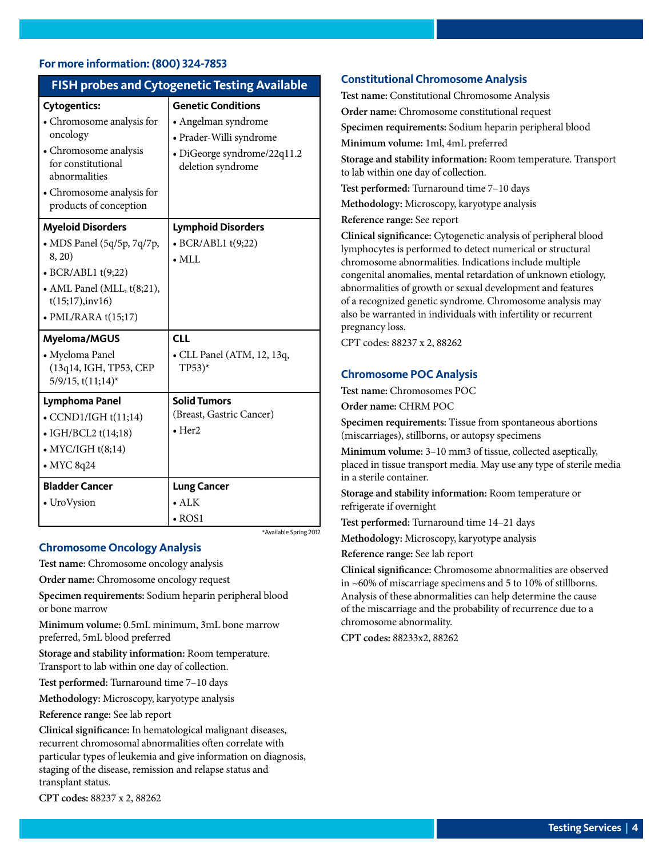#### <span id="page-3-0"></span>**For more information: (800) 324-7853**

| <b>FISH probes and Cytogenetic Testing Available</b>                                                                                                                                |                                                                                                                                 |  |  |  |  |
|-------------------------------------------------------------------------------------------------------------------------------------------------------------------------------------|---------------------------------------------------------------------------------------------------------------------------------|--|--|--|--|
| <b>Cytogentics:</b><br>• Chromosome analysis for<br>oncology<br>• Chromosome analysis<br>for constitutional<br>abnormalities<br>• Chromosome analysis for<br>products of conception | <b>Genetic Conditions</b><br>• Angelman syndrome<br>• Prader-Willi syndrome<br>· DiGeorge syndrome/22q11.2<br>deletion syndrome |  |  |  |  |
| <b>Myeloid Disorders</b><br>• MDS Panel (5q/5p, 7q/7p,<br>8, 20)<br>$\bullet$ BCR/ABL1 t(9;22)<br>• AML Panel (MLL, t(8;21),<br>t(15;17), inv16)<br>$\bullet$ PML/RARA $t(15;17)$   | <b>Lymphoid Disorders</b><br>$\bullet$ BCR/ABL1 t(9;22)<br>$\bullet$ MLL                                                        |  |  |  |  |
| <b>Myeloma/MGUS</b><br>• Myeloma Panel<br>(13q14, IGH, TP53, CEP<br>$5/9/15$ , t $(11;14)$ *                                                                                        | <b>CLL</b><br>• CLL Panel (ATM, 12, 13q,<br>$TP53$ <sup>*</sup>                                                                 |  |  |  |  |
| Lymphoma Panel<br>$\bullet$ CCND1/IGH t(11;14)<br>• IGH/BCL2 $t(14;18)$<br>$\bullet$ MYC/IGH $t(8;14)$<br>$\bullet$ MYC 8q24<br><b>Bladder Cancer</b><br>• UroVysion                | <b>Solid Tumors</b><br>(Breast, Gastric Cancer)<br>$\bullet$ Her2<br><b>Lung Cancer</b><br>$\bullet$ ALK<br>$\cdot$ ROS1        |  |  |  |  |

\*Available Spring 2012

#### **Chromosome Oncology Analysis**

**Test name:** Chromosome oncology analysis

**Order name:** Chromosome oncology request

**Specimen requirements:** Sodium heparin peripheral blood or bone marrow

**Minimum volume:** 0.5mL minimum, 3mL bone marrow preferred, 5mL blood preferred

**Storage and stability information:** Room temperature. Transport to lab within one day of collection.

**Test performed:** Turnaround time 7–10 days

**Methodology:** Microscopy, karyotype analysis

**Reference range:** See lab report

**Clinical significance:** In hematological malignant diseases, recurrent chromosomal abnormalities often correlate with particular types of leukemia and give information on diagnosis, staging of the disease, remission and relapse status and transplant status.

**CPT codes:** 88237 x 2, 88262

#### **Constitutional Chromosome Analysis**

**Test name:** Constitutional Chromosome Analysis **Order name:** Chromosome constitutional request **Specimen requirements:** Sodium heparin peripheral blood **Minimum volume:** 1ml, 4mL preferred **Storage and stability information:** Room temperature. Transport to lab within one day of collection. **Test performed:** Turnaround time 7–10 days **Methodology:** Microscopy, karyotype analysis **Reference range:** See report **Clinical significance:** Cytogenetic analysis of peripheral blood lymphocytes is performed to detect numerical or structural chromosome abnormalities. Indications include multiple congenital anomalies, mental retardation of unknown etiology,

abnormalities of growth or sexual development and features of a recognized genetic syndrome. Chromosome analysis may also be warranted in individuals with infertility or recurrent pregnancy loss.

CPT codes: 88237 x 2, 88262

#### **Chromosome POC Analysis**

**Test name:** Chromosomes POC

**Order name:** CHRM POC

**Specimen requirements:** Tissue from spontaneous abortions (miscarriages), stillborns, or autopsy specimens

**Minimum volume:** 3–10 mm3 of tissue, collected aseptically, placed in tissue transport media. May use any type of sterile media in a sterile container.

**Storage and stability information:** Room temperature or refrigerate if overnight

**Test performed:** Turnaround time 14–21 days

**Methodology:** Microscopy, karyotype analysis

**Reference range:** See lab report

**Clinical significance:** Chromosome abnormalities are observed in ~60% of miscarriage specimens and 5 to 10% of stillborns. Analysis of these abnormalities can help determine the cause of the miscarriage and the probability of recurrence due to a chromosome abnormality.

**CPT codes:** 88233x2, 88262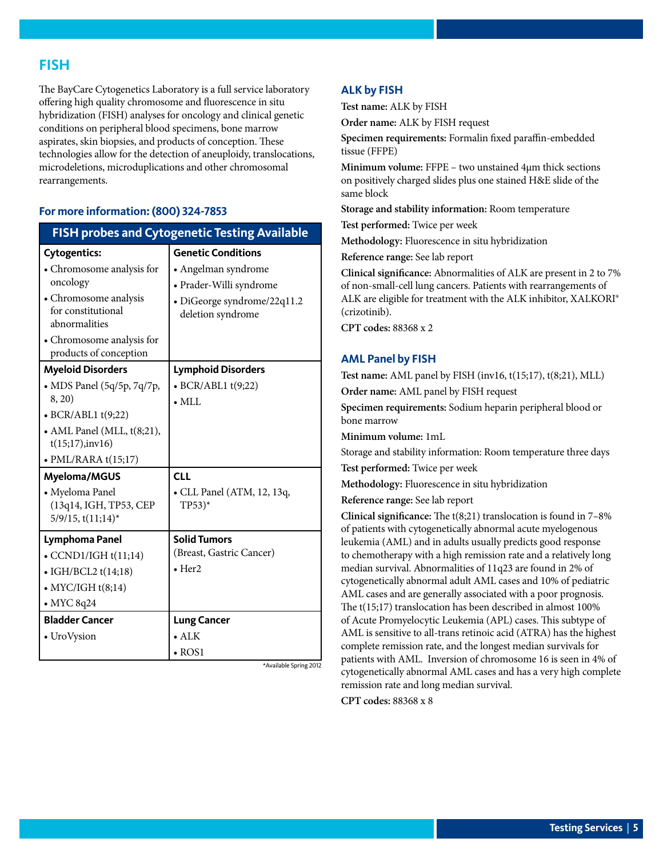### <span id="page-4-0"></span>**FISH**

The BayCare Cytogenetics Laboratory is a full service laboratory offering high quality chromosome and fluorescence in situ hybridization (FISH) analyses for oncology and clinical genetic conditions on peripheral blood specimens, bone marrow aspirates, skin biopsies, and products of conception. These technologies allow for the detection of aneuploidy, translocations, microdeletions, microduplications and other chromosomal rearrangements.

#### **For more information: (800) 324-7853**

| <b>FISH probes and Cytogenetic Testing Available</b>                  |                                                   |  |  |  |  |
|-----------------------------------------------------------------------|---------------------------------------------------|--|--|--|--|
| <b>Cytogentics:</b>                                                   | <b>Genetic Conditions</b>                         |  |  |  |  |
| • Chromosome analysis for                                             | • Angelman syndrome                               |  |  |  |  |
| oncology                                                              | • Prader-Willi syndrome                           |  |  |  |  |
| • Chromosome analysis<br>for constitutional<br>abnormalities          | · DiGeorge syndrome/22q11.2<br>deletion syndrome  |  |  |  |  |
| • Chromosome analysis for<br>products of conception                   |                                                   |  |  |  |  |
| <b>Myeloid Disorders</b>                                              | <b>Lymphoid Disorders</b>                         |  |  |  |  |
| • MDS Panel (5q/5p, 7q/7p,                                            | $\bullet$ BCR/ABL1 t(9;22)                        |  |  |  |  |
| 8, 20)                                                                | $\bullet$ MLL                                     |  |  |  |  |
| $\bullet$ BCR/ABL1 t(9;22)                                            |                                                   |  |  |  |  |
| • AML Panel (MLL, t(8;21),<br>t(15;17), inv16)                        |                                                   |  |  |  |  |
| $\bullet$ PML/RARA t(15;17)                                           |                                                   |  |  |  |  |
| Myeloma/MGUS                                                          | <b>CLL</b>                                        |  |  |  |  |
| • Myeloma Panel<br>(13q14, IGH, TP53, CEP<br>$5/9/15$ , t $(11;14)$ * | • CLL Panel (ATM, 12, 13q,<br>$TP53$ <sup>*</sup> |  |  |  |  |
| Lymphoma Panel                                                        | <b>Solid Tumors</b>                               |  |  |  |  |
| $\bullet$ CCND1/IGH t(11;14)                                          | (Breast, Gastric Cancer)                          |  |  |  |  |
| $\bullet$ IGH/BCL2 t(14;18)                                           | $\bullet$ Her2                                    |  |  |  |  |
| $\bullet$ MYC/IGH $t(8;14)$                                           |                                                   |  |  |  |  |
| $\bullet$ MYC 8q24                                                    |                                                   |  |  |  |  |
| <b>Bladder Cancer</b>                                                 | <b>Lung Cancer</b>                                |  |  |  |  |
| • UroVysion                                                           | $\bullet$ ALK                                     |  |  |  |  |
|                                                                       | $\bullet$ ROS1                                    |  |  |  |  |

\*Available Spring 2012

#### **ALK by FISH**

**Test name:** ALK by FISH

**Order name:** ALK by FISH request

**Specimen requirements:** Formalin fixed paraffin-embedded tissue (FFPE)

**Minimum volume:** FFPE – two unstained 4µm thick sections on positively charged slides plus one stained H&E slide of the same block

**Storage and stability information:** Room temperature

**Test performed:** Twice per week

**Methodology:** Fluorescence in situ hybridization

**Reference range:** See lab report

**Clinical significance:** Abnormalities of ALK are present in 2 to 7% of non-small-cell lung cancers. Patients with rearrangements of ALK are eligible for treatment with the ALK inhibitor, XALKORI® (crizotinib).

**CPT codes:** 88368 x 2

#### **AML Panel by FISH**

**Test name:** AML panel by FISH (inv16, t(15;17), t(8;21), MLL)

**Order name:** AML panel by FISH request

**Specimen requirements:** Sodium heparin peripheral blood or bone marrow

**Minimum volume:** 1mL

Storage and stability information: Room temperature three days

**Test performed:** Twice per week

**Methodology:** Fluorescence in situ hybridization

**Reference range:** See lab report

**Clinical significance:** The t(8;21) translocation is found in 7–8% of patients with cytogenetically abnormal acute myelogenous leukemia (AML) and in adults usually predicts good response to chemotherapy with a high remission rate and a relatively long median survival. Abnormalities of 11q23 are found in 2% of cytogenetically abnormal adult AML cases and 10% of pediatric AML cases and are generally associated with a poor prognosis. The t(15;17) translocation has been described in almost 100% of Acute Promyelocytic Leukemia (APL) cases. This subtype of AML is sensitive to all-trans retinoic acid (ATRA) has the highest complete remission rate, and the longest median survivals for patients with AML. Inversion of chromosome 16 is seen in 4% of cytogenetically abnormal AML cases and has a very high complete remission rate and long median survival.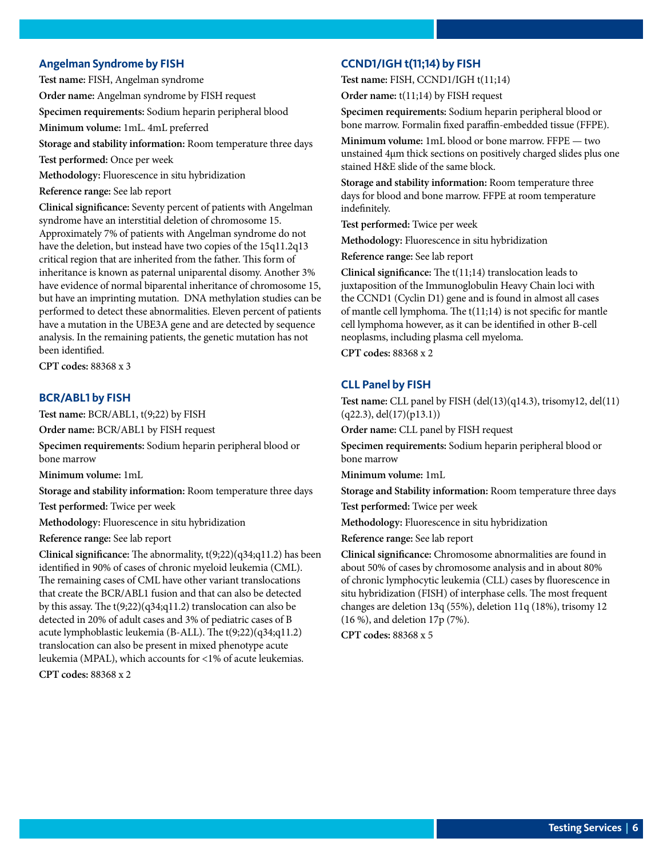#### <span id="page-5-0"></span>**Angelman Syndrome by FISH**

**Test name:** FISH, Angelman syndrome

**Order name:** Angelman syndrome by FISH request

**Specimen requirements:** Sodium heparin peripheral blood

**Minimum volume:** 1mL. 4mL preferred

**Storage and stability information:** Room temperature three days

**Test performed:** Once per week

**Methodology:** Fluorescence in situ hybridization

**Reference range:** See lab report

**Clinical significance:** Seventy percent of patients with Angelman syndrome have an interstitial deletion of chromosome 15. Approximately 7% of patients with Angelman syndrome do not have the deletion, but instead have two copies of the 15q11.2q13 critical region that are inherited from the father. This form of inheritance is known as paternal uniparental disomy. Another 3% have evidence of normal biparental inheritance of chromosome 15, but have an imprinting mutation. DNA methylation studies can be performed to detect these abnormalities. Eleven percent of patients have a mutation in the UBE3A gene and are detected by sequence analysis. In the remaining patients, the genetic mutation has not been identified.

**CPT codes:** 88368 x 3

#### **BCR/ABL1 by FISH**

**Test name:** BCR/ABL1, t(9;22) by FISH

**Order name:** BCR/ABL1 by FISH request

**Specimen requirements:** Sodium heparin peripheral blood or bone marrow

**Minimum volume:** 1mL

**Storage and stability information:** Room temperature three days

**Test performed:** Twice per week

**Methodology:** Fluorescence in situ hybridization

**Reference range:** See lab report

**Clinical significance:** The abnormality, t(9;22)(q34;q11.2) has been identified in 90% of cases of chronic myeloid leukemia (CML). The remaining cases of CML have other variant translocations that create the BCR/ABL1 fusion and that can also be detected by this assay. The t(9;22)(q34;q11.2) translocation can also be detected in 20% of adult cases and 3% of pediatric cases of B acute lymphoblastic leukemia (B-ALL). The t(9;22)(q34;q11.2) translocation can also be present in mixed phenotype acute leukemia (MPAL), which accounts for <1% of acute leukemias. **CPT codes:** 88368 x 2

#### **CCND1/IGH t(11;14) by FISH**

**Test name:** FISH, CCND1/IGH t(11;14)

**Order name:** t(11;14) by FISH request

**Specimen requirements:** Sodium heparin peripheral blood or bone marrow. Formalin fixed paraffin-embedded tissue (FFPE).

**Minimum volume:** 1mL blood or bone marrow. FFPE — two unstained 4µm thick sections on positively charged slides plus one stained H&E slide of the same block.

**Storage and stability information:** Room temperature three days for blood and bone marrow. FFPE at room temperature indefinitely.

**Test performed:** Twice per week

**Methodology:** Fluorescence in situ hybridization

**Reference range:** See lab report

**Clinical significance:** The t(11;14) translocation leads to juxtaposition of the Immunoglobulin Heavy Chain loci with the CCND1 (Cyclin D1) gene and is found in almost all cases of mantle cell lymphoma. The t(11;14) is not specific for mantle cell lymphoma however, as it can be identified in other B-cell neoplasms, including plasma cell myeloma.

**CPT codes:** 88368 x 2

#### **CLL Panel by FISH**

**Test name:** CLL panel by FISH (del(13)(q14.3), trisomy12, del(11)  $(q22.3),$  del $(17)(p13.1)$ 

**Order name:** CLL panel by FISH request

**Specimen requirements:** Sodium heparin peripheral blood or bone marrow

**Minimum volume:** 1mL

**Storage and Stability information:** Room temperature three days

**Test performed:** Twice per week

**Methodology:** Fluorescence in situ hybridization

**Reference range:** See lab report

**Clinical significance:** Chromosome abnormalities are found in about 50% of cases by chromosome analysis and in about 80% of chronic lymphocytic leukemia (CLL) cases by fluorescence in situ hybridization (FISH) of interphase cells. The most frequent changes are deletion 13q (55%), deletion 11q (18%), trisomy 12 (16 %), and deletion 17p (7%).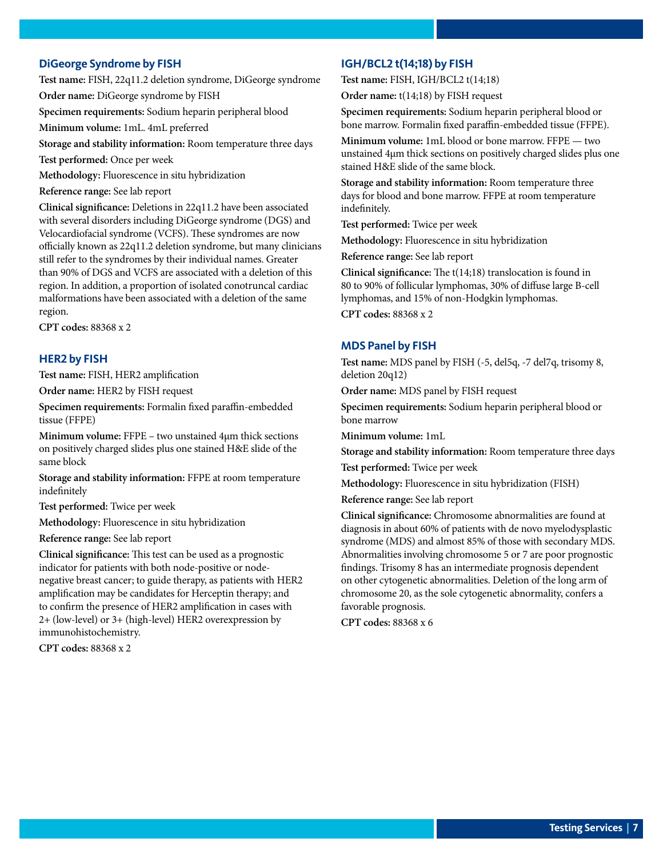#### <span id="page-6-0"></span>**DiGeorge Syndrome by FISH**

**Test name:** FISH, 22q11.2 deletion syndrome, DiGeorge syndrome **Order name:** DiGeorge syndrome by FISH

**Specimen requirements:** Sodium heparin peripheral blood

**Minimum volume:** 1mL. 4mL preferred

**Storage and stability information:** Room temperature three days

**Test performed:** Once per week

**Methodology:** Fluorescence in situ hybridization

**Reference range:** See lab report

**Clinical significance:** Deletions in 22q11.2 have been associated with several disorders including DiGeorge syndrome (DGS) and Velocardiofacial syndrome (VCFS). These syndromes are now officially known as 22q11.2 deletion syndrome, but many clinicians still refer to the syndromes by their individual names. Greater than 90% of DGS and VCFS are associated with a deletion of this region. In addition, a proportion of isolated conotruncal cardiac malformations have been associated with a deletion of the same region.

**CPT codes:** 88368 x 2

#### **HER2 by FISH**

**Test name:** FISH, HER2 amplification

**Order name:** HER2 by FISH request

**Specimen requirements:** Formalin fixed paraffin-embedded tissue (FFPE)

**Minimum volume:** FFPE – two unstained 4µm thick sections on positively charged slides plus one stained H&E slide of the same block

**Storage and stability information:** FFPE at room temperature indefinitely

**Test performed:** Twice per week

**Methodology:** Fluorescence in situ hybridization

**Reference range:** See lab report

**Clinical significance:** This test can be used as a prognostic indicator for patients with both node-positive or nodenegative breast cancer; to guide therapy, as patients with HER2 amplification may be candidates for Herceptin therapy; and to confirm the presence of HER2 amplification in cases with 2+ (low-level) or 3+ (high-level) HER2 overexpression by immunohistochemistry.

**CPT codes:** 88368 x 2

#### **IGH/BCL2 t(14;18) by FISH**

**Test name:** FISH, IGH/BCL2 t(14;18)

**Order name:** t(14;18) by FISH request

**Specimen requirements:** Sodium heparin peripheral blood or bone marrow. Formalin fixed paraffin-embedded tissue (FFPE).

**Minimum volume:** 1mL blood or bone marrow. FFPE — two unstained 4µm thick sections on positively charged slides plus one stained H&E slide of the same block.

**Storage and stability information:** Room temperature three days for blood and bone marrow. FFPE at room temperature indefinitely.

**Test performed:** Twice per week

**Methodology:** Fluorescence in situ hybridization

**Reference range:** See lab report

**Clinical significance:** The t(14;18) translocation is found in 80 to 90% of follicular lymphomas, 30% of diffuse large B-cell lymphomas, and 15% of non-Hodgkin lymphomas.

**CPT codes:** 88368 x 2

#### **MDS Panel by FISH**

**Test name:** MDS panel by FISH (-5, del5q, -7 del7q, trisomy 8, deletion 20q12)

**Order name:** MDS panel by FISH request

**Specimen requirements:** Sodium heparin peripheral blood or bone marrow

**Minimum volume:** 1mL

**Storage and stability information:** Room temperature three days

**Test performed:** Twice per week

**Methodology:** Fluorescence in situ hybridization (FISH)

**Reference range:** See lab report

**Clinical significance:** Chromosome abnormalities are found at diagnosis in about 60% of patients with de novo myelodysplastic syndrome (MDS) and almost 85% of those with secondary MDS. Abnormalities involving chromosome 5 or 7 are poor prognostic findings. Trisomy 8 has an intermediate prognosis dependent on other cytogenetic abnormalities. Deletion of the long arm of chromosome 20, as the sole cytogenetic abnormality, confers a favorable prognosis.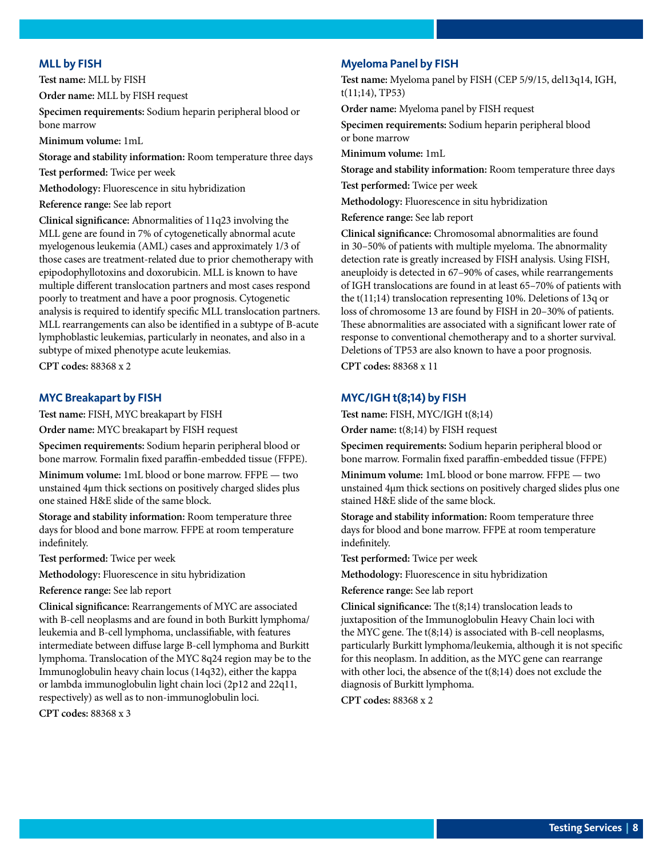#### <span id="page-7-0"></span>**MLL by FISH**

**Test name:** MLL by FISH

**Order name:** MLL by FISH request

**Specimen requirements:** Sodium heparin peripheral blood or bone marrow

**Minimum volume:** 1mL

**Storage and stability information:** Room temperature three days

**Test performed:** Twice per week

**Methodology:** Fluorescence in situ hybridization

**Reference range:** See lab report

**Clinical significance:** Abnormalities of 11q23 involving the MLL gene are found in 7% of cytogenetically abnormal acute myelogenous leukemia (AML) cases and approximately 1/3 of those cases are treatment-related due to prior chemotherapy with epipodophyllotoxins and doxorubicin. MLL is known to have multiple different translocation partners and most cases respond poorly to treatment and have a poor prognosis. Cytogenetic analysis is required to identify specific MLL translocation partners. MLL rearrangements can also be identified in a subtype of B-acute lymphoblastic leukemias, particularly in neonates, and also in a subtype of mixed phenotype acute leukemias.

**CPT codes:** 88368 x 2

#### **MYC Breakapart by FISH**

**Test name:** FISH, MYC breakapart by FISH

**Order name:** MYC breakapart by FISH request

**Specimen requirements:** Sodium heparin peripheral blood or bone marrow. Formalin fixed paraffin-embedded tissue (FFPE).

**Minimum volume:** 1mL blood or bone marrow. FFPE — two unstained 4µm thick sections on positively charged slides plus one stained H&E slide of the same block.

**Storage and stability information:** Room temperature three days for blood and bone marrow. FFPE at room temperature indefinitely.

**Test performed:** Twice per week

**Methodology:** Fluorescence in situ hybridization

**Reference range:** See lab report

**Clinical significance:** Rearrangements of MYC are associated with B-cell neoplasms and are found in both Burkitt lymphoma/ leukemia and B-cell lymphoma, unclassifiable, with features intermediate between diffuse large B-cell lymphoma and Burkitt lymphoma. Translocation of the MYC 8q24 region may be to the Immunoglobulin heavy chain locus (14q32), either the kappa or lambda immunoglobulin light chain loci (2p12 and 22q11, respectively) as well as to non-immunoglobulin loci.

**CPT codes:** 88368 x 3

#### **Myeloma Panel by FISH**

**Test name:** Myeloma panel by FISH (CEP 5/9/15, del13q14, IGH,  $t(11;14)$ , TP53)

**Order name:** Myeloma panel by FISH request

**Specimen requirements:** Sodium heparin peripheral blood or bone marrow

**Minimum volume:** 1mL

**Storage and stability information:** Room temperature three days

**Test performed:** Twice per week

**Methodology:** Fluorescence in situ hybridization

**Reference range:** See lab report

**Clinical significance:** Chromosomal abnormalities are found in 30–50% of patients with multiple myeloma. The abnormality detection rate is greatly increased by FISH analysis. Using FISH, aneuploidy is detected in 67–90% of cases, while rearrangements of IGH translocations are found in at least 65–70% of patients with the t(11;14) translocation representing 10%. Deletions of 13q or loss of chromosome 13 are found by FISH in 20–30% of patients. These abnormalities are associated with a significant lower rate of response to conventional chemotherapy and to a shorter survival. Deletions of TP53 are also known to have a poor prognosis.

**CPT codes:** 88368 x 11

#### **MYC/IGH t(8;14) by FISH**

**Test name:** FISH, MYC/IGH t(8;14)

**Order name:** t(8;14) by FISH request

**Specimen requirements:** Sodium heparin peripheral blood or bone marrow. Formalin fixed paraffin-embedded tissue (FFPE)

**Minimum volume:** 1mL blood or bone marrow. FFPE — two unstained 4µm thick sections on positively charged slides plus one stained H&E slide of the same block.

**Storage and stability information:** Room temperature three days for blood and bone marrow. FFPE at room temperature indefinitely.

**Test performed:** Twice per week

**Methodology:** Fluorescence in situ hybridization

**Reference range:** See lab report

**Clinical significance:** The t(8;14) translocation leads to juxtaposition of the Immunoglobulin Heavy Chain loci with the MYC gene. The t(8;14) is associated with B-cell neoplasms, particularly Burkitt lymphoma/leukemia, although it is not specific for this neoplasm. In addition, as the MYC gene can rearrange with other loci, the absence of the t(8;14) does not exclude the diagnosis of Burkitt lymphoma.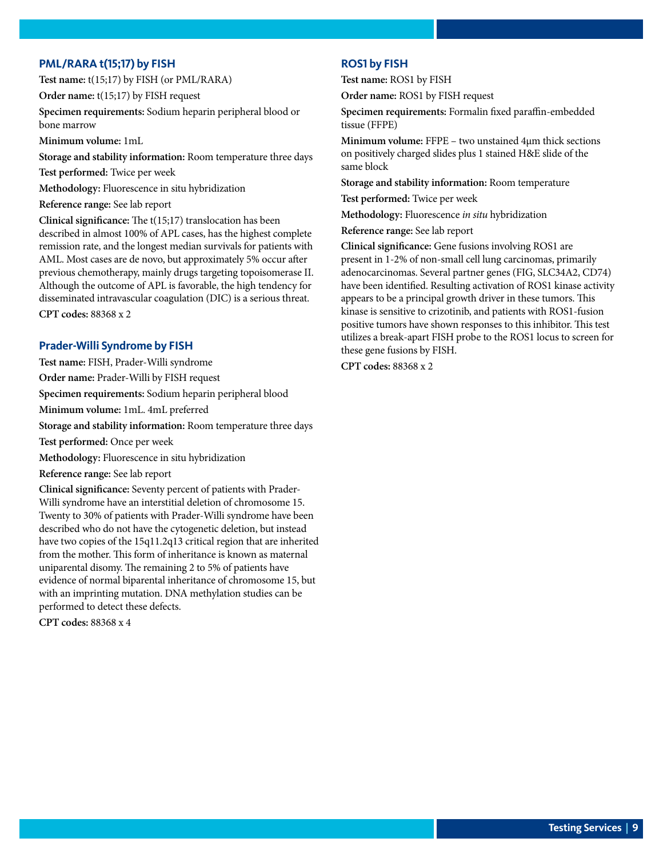#### <span id="page-8-0"></span>**PML/RARA t(15;17) by FISH**

**Test name:** t(15;17) by FISH (or PML/RARA)

**Order name:** t(15;17) by FISH request

**Specimen requirements:** Sodium heparin peripheral blood or bone marrow

**Minimum volume:** 1mL

**Storage and stability information:** Room temperature three days

**Test performed:** Twice per week

**Methodology:** Fluorescence in situ hybridization

**Reference range:** See lab report

**Clinical significance:** The t(15;17) translocation has been described in almost 100% of APL cases, has the highest complete remission rate, and the longest median survivals for patients with AML. Most cases are de novo, but approximately 5% occur after previous chemotherapy, mainly drugs targeting topoisomerase II. Although the outcome of APL is favorable, the high tendency for disseminated intravascular coagulation (DIC) is a serious threat. **CPT codes:** 88368 x 2

#### **Prader-Willi Syndrome by FISH**

**Test name:** FISH, Prader-Willi syndrome

**Order name:** Prader-Willi by FISH request

**Specimen requirements:** Sodium heparin peripheral blood

**Minimum volume:** 1mL. 4mL preferred

**Storage and stability information:** Room temperature three days

**Test performed:** Once per week

**Methodology:** Fluorescence in situ hybridization

**Reference range:** See lab report

**Clinical significance:** Seventy percent of patients with Prader-Willi syndrome have an interstitial deletion of chromosome 15. Twenty to 30% of patients with Prader-Willi syndrome have been described who do not have the cytogenetic deletion, but instead have two copies of the 15q11.2q13 critical region that are inherited from the mother. This form of inheritance is known as maternal uniparental disomy. The remaining 2 to 5% of patients have evidence of normal biparental inheritance of chromosome 15, but with an imprinting mutation. DNA methylation studies can be performed to detect these defects.

**CPT codes:** 88368 x 4

#### **ROS1 by FISH**

**Test name:** ROS1 by FISH

**Order name:** ROS1 by FISH request

**Specimen requirements:** Formalin fixed paraffin-embedded tissue (FFPE)

**Minimum volume:** FFPE – two unstained 4µm thick sections on positively charged slides plus 1 stained H&E slide of the same block

**Storage and stability information:** Room temperature

**Test performed:** Twice per week

**Methodology:** Fluorescence *in situ* hybridization

**Reference range:** See lab report

**Clinical significance:** Gene fusions involving ROS1 are present in 1-2% of non-small cell lung carcinomas, primarily adenocarcinomas. Several partner genes (FIG, SLC34A2, CD74) have been identified. Resulting activation of ROS1 kinase activity appears to be a principal growth driver in these tumors. This kinase is sensitive to crizotinib, and patients with ROS1-fusion positive tumors have shown responses to this inhibitor. This test utilizes a break-apart FISH probe to the ROS1 locus to screen for these gene fusions by FISH.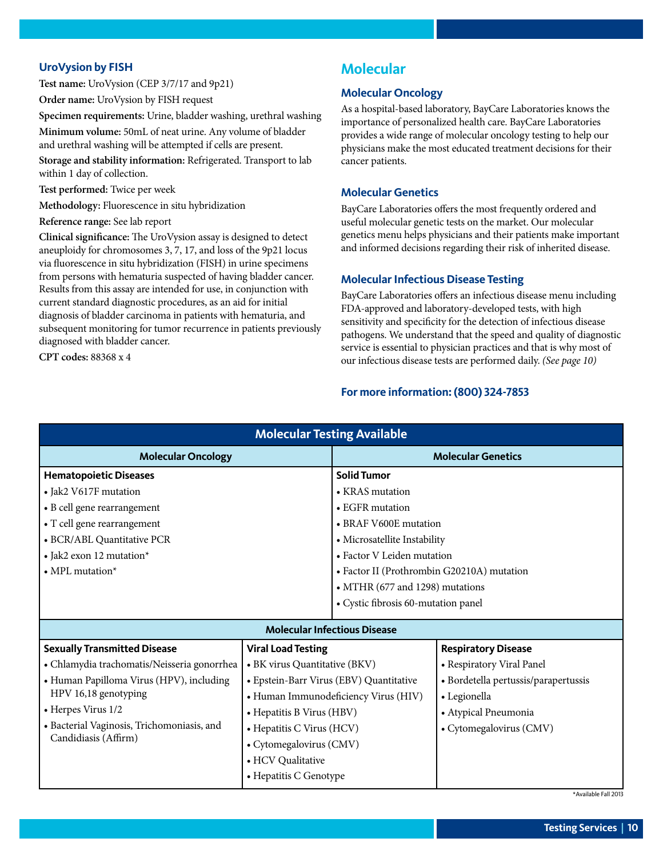#### <span id="page-9-0"></span>**UroVysion by FISH**

**Test name:** UroVysion (CEP 3/7/17 and 9p21)

**Order name:** UroVysion by FISH request

**Specimen requirements:** Urine, bladder washing, urethral washing **Minimum volume:** 50mL of neat urine. Any volume of bladder and urethral washing will be attempted if cells are present.

**Storage and stability information:** Refrigerated. Transport to lab within 1 day of collection.

**Test performed:** Twice per week

**Methodology:** Fluorescence in situ hybridization

#### **Reference range:** See lab report

**Clinical significance:** The UroVysion assay is designed to detect aneuploidy for chromosomes 3, 7, 17, and loss of the 9p21 locus via fluorescence in situ hybridization (FISH) in urine specimens from persons with hematuria suspected of having bladder cancer. Results from this assay are intended for use, in conjunction with current standard diagnostic procedures, as an aid for initial diagnosis of bladder carcinoma in patients with hematuria, and subsequent monitoring for tumor recurrence in patients previously diagnosed with bladder cancer.

**CPT codes:** 88368 x 4

# **Molecular**

#### **Molecular Oncology**

As a hospital-based laboratory, BayCare Laboratories knows the importance of personalized health care. BayCare Laboratories provides a wide range of molecular oncology testing to help our physicians make the most educated treatment decisions for their cancer patients.

#### **Molecular Genetics**

BayCare Laboratories offers the most frequently ordered and useful molecular genetic tests on the market. Our molecular genetics menu helps physicians and their patients make important and informed decisions regarding their risk of inherited disease.

#### **Molecular Infectious Disease Testing**

BayCare Laboratories offers an infectious disease menu including FDA-approved and laboratory-developed tests, with high sensitivity and specificity for the detection of infectious disease pathogens. We understand that the speed and quality of diagnostic service is essential to physician practices and that is why most of our infectious disease tests are performed daily. *(See page 10)*

#### **For more information: (800) 324-7853**

| <b>Molecular Testing Available</b>          |                                         |                                            |                                      |  |  |  |
|---------------------------------------------|-----------------------------------------|--------------------------------------------|--------------------------------------|--|--|--|
| <b>Molecular Oncology</b>                   |                                         | <b>Molecular Genetics</b>                  |                                      |  |  |  |
| <b>Hematopoietic Diseases</b>               |                                         | <b>Solid Tumor</b>                         |                                      |  |  |  |
| • Jak2 V617F mutation                       |                                         | • KRAS mutation                            |                                      |  |  |  |
| • B cell gene rearrangement                 |                                         | • EGFR mutation                            |                                      |  |  |  |
| • T cell gene rearrangement                 |                                         | • BRAF V600E mutation                      |                                      |  |  |  |
| • BCR/ABL Quantitative PCR                  |                                         | • Microsatellite Instability               |                                      |  |  |  |
| • Jak2 exon 12 mutation*                    |                                         | • Factor V Leiden mutation                 |                                      |  |  |  |
| $\bullet$ MPL mutation*                     |                                         | • Factor II (Prothrombin G20210A) mutation |                                      |  |  |  |
|                                             |                                         | • MTHR (677 and 1298) mutations            |                                      |  |  |  |
|                                             |                                         | • Cystic fibrosis 60-mutation panel        |                                      |  |  |  |
| <b>Molecular Infectious Disease</b>         |                                         |                                            |                                      |  |  |  |
| <b>Sexually Transmitted Disease</b>         | <b>Viral Load Testing</b>               |                                            | <b>Respiratory Disease</b>           |  |  |  |
| • Chlamydia trachomatis/Neisseria gonorrhea | • BK virus Quantitative (BKV)           |                                            | • Respiratory Viral Panel            |  |  |  |
| • Human Papilloma Virus (HPV), including    | • Epstein-Barr Virus (EBV) Quantitative |                                            | · Bordetella pertussis/parapertussis |  |  |  |
| HPV 16,18 genotyping                        | • Human Immunodeficiency Virus (HIV)    |                                            | • Legionella                         |  |  |  |
| • Herpes Virus 1/2                          | • Hepatitis B Virus (HBV)               |                                            | • Atypical Pneumonia                 |  |  |  |
| • Bacterial Vaginosis, Trichomoniasis, and  | • Hepatitis C Virus (HCV)               |                                            | • Cytomegalovirus (CMV)              |  |  |  |
| Candidiasis (Affirm)                        | • Cytomegalovirus (CMV)                 |                                            |                                      |  |  |  |
|                                             | • HCV Qualitative                       |                                            |                                      |  |  |  |
|                                             | • Hepatitis C Genotype                  |                                            |                                      |  |  |  |

\*Available Fall 2013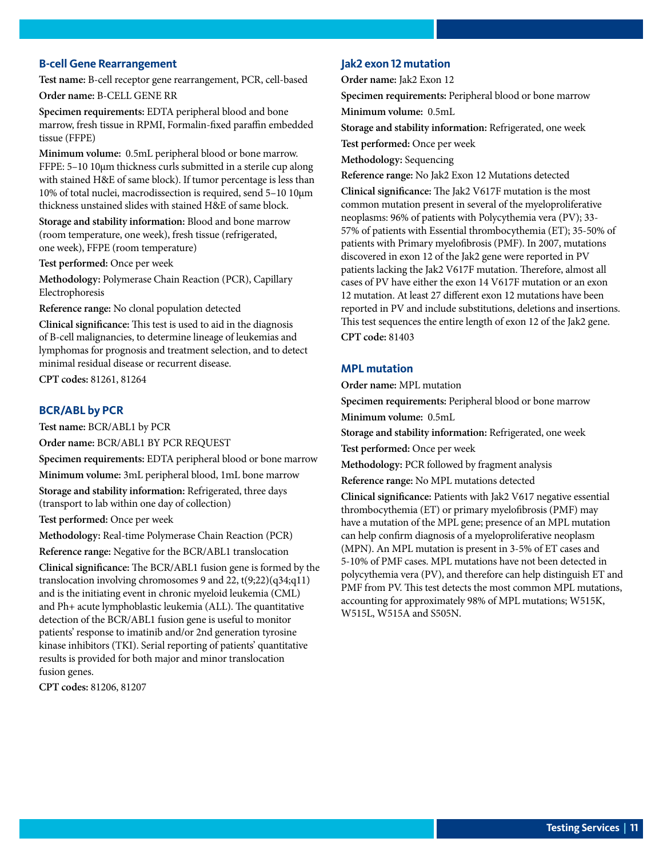#### <span id="page-10-0"></span>**B-cell Gene Rearrangement**

**Test name:** B-cell receptor gene rearrangement, PCR, cell-based **Order name:** B-CELL GENE RR

**Specimen requirements:** EDTA peripheral blood and bone marrow, fresh tissue in RPMI, Formalin-fixed paraffin embedded tissue (FFPE)

**Minimum volume:** 0.5mL peripheral blood or bone marrow. FFPE: 5–10 10µm thickness curls submitted in a sterile cup along with stained H&E of same block). If tumor percentage is less than 10% of total nuclei, macrodissection is required, send 5–10 10µm thickness unstained slides with stained H&E of same block.

**Storage and stability information:** Blood and bone marrow (room temperature, one week), fresh tissue (refrigerated, one week), FFPE (room temperature)

**Test performed:** Once per week

**Methodology:** Polymerase Chain Reaction (PCR), Capillary Electrophoresis

**Reference range:** No clonal population detected

**Clinical significance:** This test is used to aid in the diagnosis of B-cell malignancies, to determine lineage of leukemias and lymphomas for prognosis and treatment selection, and to detect minimal residual disease or recurrent disease.

**CPT codes:** 81261, 81264

#### **BCR/ABL by PCR**

**Test name:** BCR/ABL1 by PCR

**Order name:** BCR/ABL1 BY PCR REQUEST

**Specimen requirements:** EDTA peripheral blood or bone marrow **Minimum volume:** 3mL peripheral blood, 1mL bone marrow **Storage and stability information:** Refrigerated, three days (transport to lab within one day of collection)

**Test performed:** Once per week

**Methodology:** Real-time Polymerase Chain Reaction (PCR) **Reference range:** Negative for the BCR/ABL1 translocation

**Clinical significance:** The BCR/ABL1 fusion gene is formed by the translocation involving chromosomes 9 and 22, t(9;22)(q34;q11) and is the initiating event in chronic myeloid leukemia (CML) and Ph+ acute lymphoblastic leukemia (ALL). The quantitative detection of the BCR/ABL1 fusion gene is useful to monitor patients' response to imatinib and/or 2nd generation tyrosine kinase inhibitors (TKI). Serial reporting of patients' quantitative results is provided for both major and minor translocation fusion genes.

**CPT codes:** 81206, 81207

#### **Jak2 exon 12 mutation**

**Order name:** Jak2 Exon 12

**Specimen requirements:** Peripheral blood or bone marrow **Minimum volume:** 0.5mL

**Storage and stability information:** Refrigerated, one week

**Test performed:** Once per week

**Methodology:** Sequencing

**Reference range:** No Jak2 Exon 12 Mutations detected

**Clinical significance:** The Jak2 V617F mutation is the most common mutation present in several of the myeloproliferative neoplasms: 96% of patients with Polycythemia vera (PV); 33- 57% of patients with Essential thrombocythemia (ET); 35-50% of patients with Primary myelofibrosis (PMF). In 2007, mutations discovered in exon 12 of the Jak2 gene were reported in PV patients lacking the Jak2 V617F mutation. Therefore, almost all cases of PV have either the exon 14 V617F mutation or an exon 12 mutation. At least 27 different exon 12 mutations have been reported in PV and include substitutions, deletions and insertions. This test sequences the entire length of exon 12 of the Jak2 gene. **CPT code:** 81403

#### **MPL mutation**

**Order name:** MPL mutation

**Specimen requirements:** Peripheral blood or bone marrow

**Minimum volume:** 0.5mL

**Storage and stability information:** Refrigerated, one week

**Test performed:** Once per week

**Methodology:** PCR followed by fragment analysis

**Reference range:** No MPL mutations detected

**Clinical significance:** Patients with Jak2 V617 negative essential thrombocythemia (ET) or primary myelofibrosis (PMF) may have a mutation of the MPL gene; presence of an MPL mutation can help confirm diagnosis of a myeloproliferative neoplasm (MPN). An MPL mutation is present in 3-5% of ET cases and 5-10% of PMF cases. MPL mutations have not been detected in polycythemia vera (PV), and therefore can help distinguish ET and PMF from PV. This test detects the most common MPL mutations, accounting for approximately 98% of MPL mutations; W515K, W515L, W515A and S505N.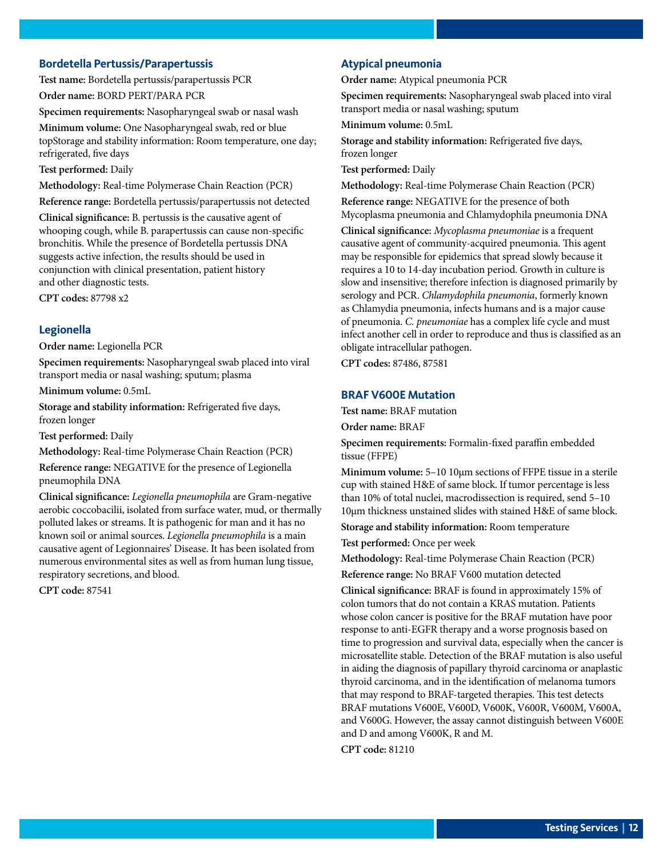#### <span id="page-11-0"></span>**Bordetella Pertussis/Parapertussis**

**Test name:** Bordetella pertussis/parapertussis PCR **Order name:** BORD PERT/PARA PCR

**Specimen requirements:** Nasopharyngeal swab or nasal wash

**Minimum volume:** One Nasopharyngeal swab, red or blue topStorage and stability information: Room temperature, one day; refrigerated, five days

**Test performed:** Daily

**Methodology:** Real-time Polymerase Chain Reaction (PCR) **Reference range:** Bordetella pertussis/parapertussis not detected

**Clinical significance:** B. pertussis is the causative agent of whooping cough, while B. parapertussis can cause non-specific

bronchitis. While the presence of Bordetella pertussis DNA suggests active infection, the results should be used in conjunction with clinical presentation, patient history and other diagnostic tests.

**CPT codes:** 87798 x2

#### **Legionella**

**Order name:** Legionella PCR

**Specimen requirements:** Nasopharyngeal swab placed into viral transport media or nasal washing; sputum; plasma

**Minimum volume:** 0.5mL

**Storage and stability information:** Refrigerated five days, frozen longer

**Test performed:** Daily

**Methodology:** Real-time Polymerase Chain Reaction (PCR)

**Reference range:** NEGATIVE for the presence of Legionella pneumophila DNA

**Clinical significance:** *Legionella pneumophila* are Gram-negative aerobic coccobacilii, isolated from surface water, mud, or thermally polluted lakes or streams. It is pathogenic for man and it has no known soil or animal sources. *Legionella pneumophila* is a main causative agent of Legionnaires' Disease. It has been isolated from numerous environmental sites as well as from human lung tissue, respiratory secretions, and blood.

**CPT code:** 87541

#### **Atypical pneumonia**

**Order name:** Atypical pneumonia PCR

**Specimen requirements:** Nasopharyngeal swab placed into viral transport media or nasal washing; sputum

**Minimum volume:** 0.5mL

**Storage and stability information:** Refrigerated five days, frozen longer

**Test performed:** Daily

**Methodology:** Real-time Polymerase Chain Reaction (PCR)

**Reference range:** NEGATIVE for the presence of both Mycoplasma pneumonia and Chlamydophila pneumonia DNA

**Clinical significance:** *Mycoplasma pneumoniae* is a frequent causative agent of community-acquired pneumonia. This agent may be responsible for epidemics that spread slowly because it requires a 10 to 14-day incubation period. Growth in culture is slow and insensitive; therefore infection is diagnosed primarily by serology and PCR. *Chlamydophila pneumonia*, formerly known as Chlamydia pneumonia, infects humans and is a major cause of pneumonia. *C. pneumoniae* has a complex life cycle and must infect another cell in order to reproduce and thus is classified as an obligate intracellular pathogen.

**CPT codes:** 87486, 87581

#### **BRAF V600E Mutation**

**Test name:** BRAF mutation

**Order name:** BRAF

**Specimen requirements:** Formalin-fixed paraffin embedded tissue (FFPE)

**Minimum volume:** 5–10 10µm sections of FFPE tissue in a sterile cup with stained H&E of same block. If tumor percentage is less than 10% of total nuclei, macrodissection is required, send 5–10 10µm thickness unstained slides with stained H&E of same block.

**Storage and stability information:** Room temperature

**Test performed:** Once per week

**Methodology:** Real-time Polymerase Chain Reaction (PCR)

**Reference range:** No BRAF V600 mutation detected

**Clinical significance:** BRAF is found in approximately 15% of colon tumors that do not contain a KRAS mutation. Patients whose colon cancer is positive for the BRAF mutation have poor response to anti-EGFR therapy and a worse prognosis based on time to progression and survival data, especially when the cancer is microsatellite stable. Detection of the BRAF mutation is also useful in aiding the diagnosis of papillary thyroid carcinoma or anaplastic thyroid carcinoma, and in the identification of melanoma tumors that may respond to BRAF-targeted therapies. This test detects BRAF mutations V600E, V600D, V600K, V600R, V600M, V600A, and V600G. However, the assay cannot distinguish between V600E and D and among V600K, R and M.

**CPT code:** 81210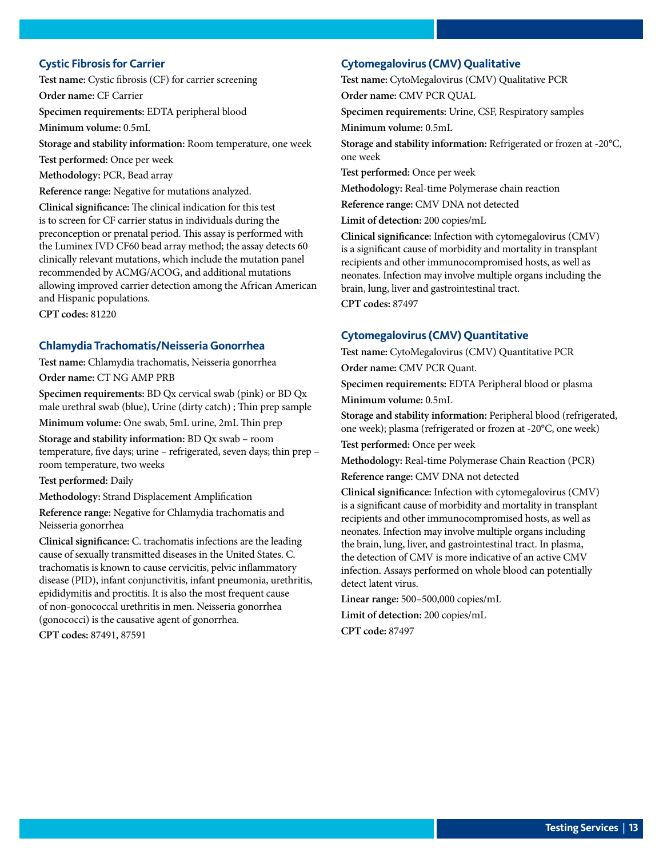#### <span id="page-12-0"></span>**Cystic Fibrosis for Carrier**

**Test name:** Cystic fibrosis (CF) for carrier screening

**Order name:** CF Carrier

**Specimen requirements:** EDTA peripheral blood

**Minimum volume:** 0.5mL

**Storage and stability information:** Room temperature, one week

**Test performed:** Once per week

**Methodology:** PCR, Bead array

**Reference range:** Negative for mutations analyzed.

**Clinical significance:** The clinical indication for this test is to screen for CF carrier status in individuals during the preconception or prenatal period. This assay is performed with the Luminex IVD CF60 bead array method; the assay detects 60 clinically relevant mutations, which include the mutation panel recommended by ACMG/ACOG, and additional mutations allowing improved carrier detection among the African American and Hispanic populations.

**CPT codes:** 81220

#### **Chlamydia Trachomatis/Neisseria Gonorrhea**

**Test name:** Chlamydia trachomatis, Neisseria gonorrhea

**Order name:** CT NG AMP PRB

**Specimen requirements:** BD Qx cervical swab (pink) or BD Qx male urethral swab (blue), Urine (dirty catch) ; Thin prep sample

**Minimum volume:** One swab, 5mL urine, 2mL Thin prep

**Storage and stability information:** BD Qx swab – room temperature, five days; urine – refrigerated, seven days; thin prep – room temperature, two weeks

**Test performed:** Daily

**Methodology:** Strand Displacement Amplification

**Reference range:** Negative for Chlamydia trachomatis and Neisseria gonorrhea

**Clinical significance:** C. trachomatis infections are the leading cause of sexually transmitted diseases in the United States. C. trachomatis is known to cause cervicitis, pelvic inflammatory disease (PID), infant conjunctivitis, infant pneumonia, urethritis, epididymitis and proctitis. It is also the most frequent cause of non-gonococcal urethritis in men. Neisseria gonorrhea (gonococci) is the causative agent of gonorrhea.

**CPT codes:** 87491, 87591

#### **Cytomegalovirus (CMV) Qualitative**

**Test name:** CytoMegalovirus (CMV) Qualitative PCR **Order name:** CMV PCR QUAL

**Specimen requirements:** Urine, CSF, Respiratory samples

**Minimum volume:** 0.5mL

**Storage and stability information:** Refrigerated or frozen at -20°C, one week

**Test performed:** Once per week

**Methodology:** Real-time Polymerase chain reaction

**Reference range:** CMV DNA not detected

**Limit of detection:** 200 copies/mL

**Clinical significance:** Infection with cytomegalovirus (CMV) is a significant cause of morbidity and mortality in transplant recipients and other immunocompromised hosts, as well as neonates. Infection may involve multiple organs including the brain, lung, liver and gastrointestinal tract.

**CPT codes:** 87497

#### **Cytomegalovirus (CMV) Quantitative**

**Test name:** CytoMegalovirus (CMV) Quantitative PCR **Order name:** CMV PCR Quant.

**Specimen requirements:** EDTA Peripheral blood or plasma **Minimum volume:** 0.5mL

**Storage and stability information:** Peripheral blood (refrigerated, one week); plasma (refrigerated or frozen at -20°C, one week)

**Test performed:** Once per week

**Methodology:** Real-time Polymerase Chain Reaction (PCR)

**Reference range:** CMV DNA not detected

**Clinical significance:** Infection with cytomegalovirus (CMV) is a significant cause of morbidity and mortality in transplant recipients and other immunocompromised hosts, as well as neonates. Infection may involve multiple organs including the brain, lung, liver, and gastrointestinal tract. In plasma, the detection of CMV is more indicative of an active CMV infection. Assays performed on whole blood can potentially detect latent virus.

**Linear range:** 500–500,000 copies/mL

**Limit of detection:** 200 copies/mL

**CPT code:** 87497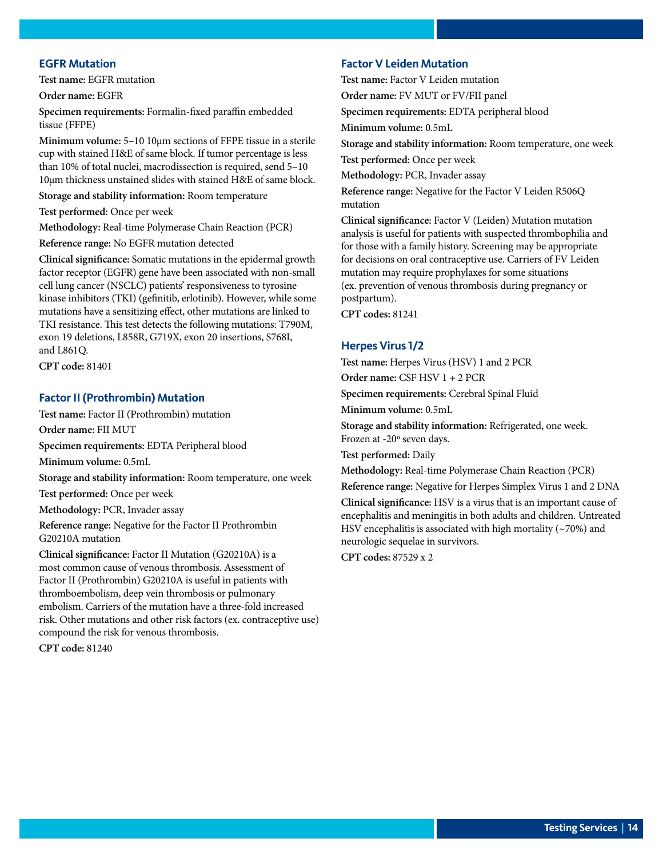#### <span id="page-13-0"></span>**EGFR Mutation**

**Test name:** EGFR mutation

**Order name:** EGFR

**Specimen requirements:** Formalin-fixed paraffin embedded tissue (FFPE)

**Minimum volume:** 5–10 10µm sections of FFPE tissue in a sterile cup with stained H&E of same block. If tumor percentage is less than 10% of total nuclei, macrodissection is required, send 5–10 10µm thickness unstained slides with stained H&E of same block.

**Storage and stability information:** Room temperature

**Test performed:** Once per week

**Methodology:** Real-time Polymerase Chain Reaction (PCR)

**Reference range:** No EGFR mutation detected

**Clinical significance:** Somatic mutations in the epidermal growth factor receptor (EGFR) gene have been associated with non-small cell lung cancer (NSCLC) patients' responsiveness to tyrosine kinase inhibitors (TKI) (gefinitib, erlotinib). However, while some mutations have a sensitizing effect, other mutations are linked to TKI resistance. This test detects the following mutations: T790M, exon 19 deletions, L858R, G719X, exon 20 insertions, S768I, and L861Q.

**CPT code:** 81401

#### **Factor II (Prothrombin) Mutation**

compound the risk for venous thrombosis.

**Test name:** Factor II (Prothrombin) mutation **Order name:** FII MUT **Specimen requirements:** EDTA Peripheral blood **Minimum volume:** 0.5mL **Storage and stability information:** Room temperature, one week **Test performed:** Once per week **Methodology:** PCR, Invader assay **Reference range:** Negative for the Factor II Prothrombin G20210A mutation **Clinical significance:** Factor II Mutation (G20210A) is a most common cause of venous thrombosis. Assessment of Factor II (Prothrombin) G20210A is useful in patients with thromboembolism, deep vein thrombosis or pulmonary embolism. Carriers of the mutation have a three-fold increased risk. Other mutations and other risk factors (ex. contraceptive use)

**CPT code:** 81240

#### **Factor V Leiden Mutation**

**Test name:** Factor V Leiden mutation **Order name:** FV MUT or FV/FII panel **Specimen requirements:** EDTA peripheral blood **Minimum volume:** 0.5mL **Storage and stability information:** Room temperature, one week **Test performed:** Once per week **Methodology:** PCR, Invader assay **Reference range:** Negative for the Factor V Leiden R506Q mutation **Clinical significance:** Factor V (Leiden) Mutation mutation analysis is useful for patients with suspected thrombophilia and for those with a family history. Screening may be appropriate for decisions on oral contraceptive use. Carriers of FV Leiden mutation may require prophylaxes for some situations

(ex. prevention of venous thrombosis during pregnancy or postpartum).

**CPT codes:** 81241

#### **Herpes Virus 1/2**

**Test name:** Herpes Virus (HSV) 1 and 2 PCR

**Order name:** CSF HSV 1 + 2 PCR

**Specimen requirements:** Cerebral Spinal Fluid

**Minimum volume:** 0.5mL

**Storage and stability information:** Refrigerated, one week. Frozen at -20º seven days.

**Test performed:** Daily

**Methodology:** Real-time Polymerase Chain Reaction (PCR)

**Reference range:** Negative for Herpes Simplex Virus 1 and 2 DNA

**Clinical significance:** HSV is a virus that is an important cause of encephalitis and meningitis in both adults and children. Untreated HSV encephalitis is associated with high mortality  $(\sim 70\%)$  and neurologic sequelae in survivors.

**CPT codes:** 87529 x 2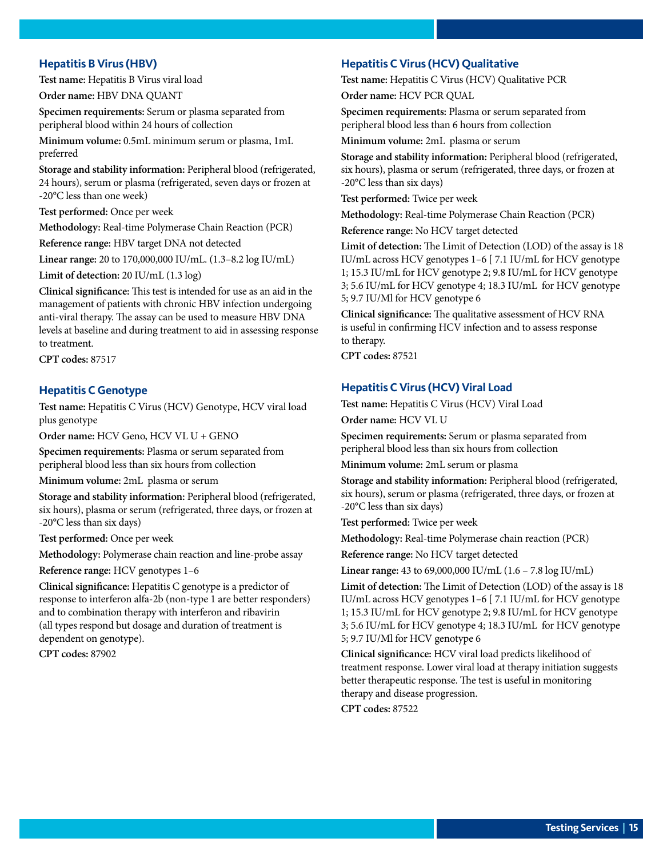#### <span id="page-14-0"></span>**Hepatitis B Virus (HBV)**

**Test name:** Hepatitis B Virus viral load

**Order name:** HBV DNA QUANT

**Specimen requirements:** Serum or plasma separated from peripheral blood within 24 hours of collection

**Minimum volume:** 0.5mL minimum serum or plasma, 1mL preferred

**Storage and stability information:** Peripheral blood (refrigerated, 24 hours), serum or plasma (refrigerated, seven days or frozen at -20°C less than one week)

**Test performed:** Once per week

**Methodology:** Real-time Polymerase Chain Reaction (PCR)

**Reference range:** HBV target DNA not detected

**Linear range:** 20 to 170,000,000 IU/mL. (1.3–8.2 log IU/mL)

**Limit of detection:** 20 IU/mL (1.3 log)

**Clinical significance:** This test is intended for use as an aid in the management of patients with chronic HBV infection undergoing anti-viral therapy. The assay can be used to measure HBV DNA levels at baseline and during treatment to aid in assessing response to treatment.

**CPT codes:** 87517

#### **Hepatitis C Genotype**

**Test name:** Hepatitis C Virus (HCV) Genotype, HCV viral load plus genotype

**Order name:** HCV Geno, HCV VL U + GENO

**Specimen requirements:** Plasma or serum separated from peripheral blood less than six hours from collection

**Minimum volume:** 2mL plasma or serum

**Storage and stability information:** Peripheral blood (refrigerated, six hours), plasma or serum (refrigerated, three days, or frozen at -20°C less than six days)

**Test performed:** Once per week

**Methodology:** Polymerase chain reaction and line-probe assay

**Reference range:** HCV genotypes 1–6

**Clinical significance:** Hepatitis C genotype is a predictor of response to interferon alfa-2b (non-type 1 are better responders) and to combination therapy with interferon and ribavirin (all types respond but dosage and duration of treatment is dependent on genotype).

**CPT codes:** 87902

#### **Hepatitis C Virus (HCV) Qualitative**

**Test name:** Hepatitis C Virus (HCV) Qualitative PCR **Order name:** HCV PCR QUAL

**Specimen requirements:** Plasma or serum separated from peripheral blood less than 6 hours from collection

**Minimum volume:** 2mL plasma or serum

**Storage and stability information:** Peripheral blood (refrigerated, six hours), plasma or serum (refrigerated, three days, or frozen at -20°C less than six days)

**Test performed:** Twice per week

**Methodology:** Real-time Polymerase Chain Reaction (PCR)

**Reference range:** No HCV target detected

**Limit of detection:** The Limit of Detection (LOD) of the assay is 18 IU/mL across HCV genotypes 1–6 [ 7.1 IU/mL for HCV genotype 1; 15.3 IU/mL for HCV genotype 2; 9.8 IU/mL for HCV genotype 3; 5.6 IU/mL for HCV genotype 4; 18.3 IU/mL for HCV genotype 5; 9.7 IU/Ml for HCV genotype 6

**Clinical significance:** The qualitative assessment of HCV RNA is useful in confirming HCV infection and to assess response to therapy.

**CPT codes:** 87521

#### **Hepatitis C Virus (HCV) Viral Load**

**Test name:** Hepatitis C Virus (HCV) Viral Load **Order name:** HCV VL U

**Specimen requirements:** Serum or plasma separated from peripheral blood less than six hours from collection

**Minimum volume:** 2mL serum or plasma

**Storage and stability information:** Peripheral blood (refrigerated, six hours), serum or plasma (refrigerated, three days, or frozen at -20°C less than six days)

**Test performed:** Twice per week

**Methodology:** Real-time Polymerase chain reaction (PCR)

**Reference range:** No HCV target detected

**Linear range:** 43 to 69,000,000 IU/mL (1.6 – 7.8 log IU/mL)

**Limit of detection:** The Limit of Detection (LOD) of the assay is 18 IU/mL across HCV genotypes 1–6 [ 7.1 IU/mL for HCV genotype 1; 15.3 IU/mL for HCV genotype 2; 9.8 IU/mL for HCV genotype 3; 5.6 IU/mL for HCV genotype 4; 18.3 IU/mL for HCV genotype 5; 9.7 IU/Ml for HCV genotype 6

**Clinical significance:** HCV viral load predicts likelihood of treatment response. Lower viral load at therapy initiation suggests better therapeutic response. The test is useful in monitoring therapy and disease progression.

**CPT codes:** 87522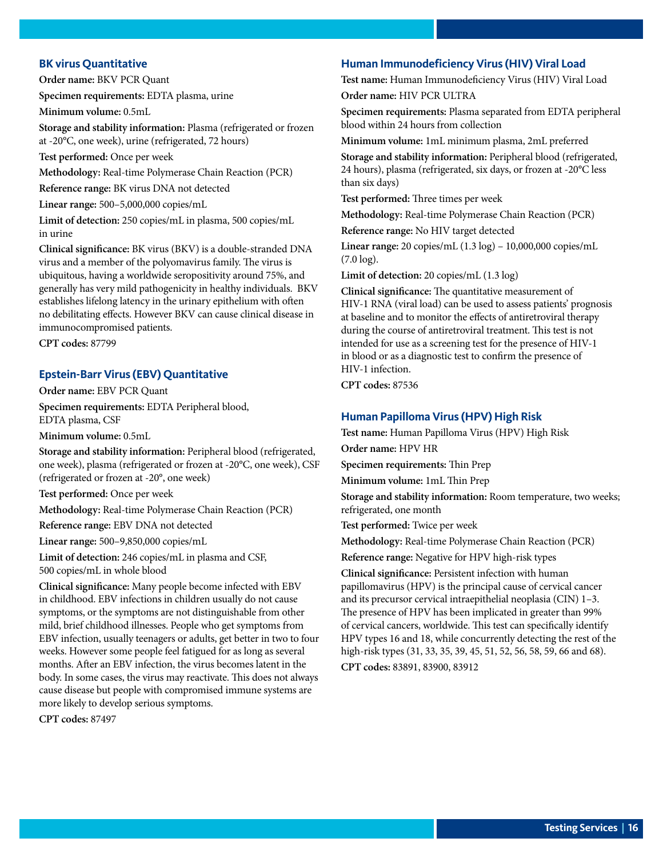#### <span id="page-15-0"></span>**BK virus Quantitative**

**Order name:** BKV PCR Quant

**Specimen requirements:** EDTA plasma, urine

**Minimum volume:** 0.5mL

**Storage and stability information:** Plasma (refrigerated or frozen at -20°C, one week), urine (refrigerated, 72 hours)

**Test performed:** Once per week

**Methodology:** Real-time Polymerase Chain Reaction (PCR)

**Reference range:** BK virus DNA not detected

**Linear range:** 500–5,000,000 copies/mL

**Limit of detection:** 250 copies/mL in plasma, 500 copies/mL in urine

**Clinical significance:** BK virus (BKV) is a double-stranded DNA virus and a member of the polyomavirus family. The virus is ubiquitous, having a worldwide seropositivity around 75%, and generally has very mild pathogenicity in healthy individuals. BKV establishes lifelong latency in the urinary epithelium with often no debilitating effects. However BKV can cause clinical disease in immunocompromised patients.

**CPT codes:** 87799

#### **Epstein-Barr Virus (EBV) Quantitative**

**Order name:** EBV PCR Quant **Specimen requirements:** EDTA Peripheral blood, EDTA plasma, CSF

**Minimum volume:** 0.5mL

**Storage and stability information:** Peripheral blood (refrigerated, one week), plasma (refrigerated or frozen at -20°C, one week), CSF (refrigerated or frozen at -20°, one week)

**Test performed:** Once per week

**Methodology:** Real-time Polymerase Chain Reaction (PCR)

**Reference range:** EBV DNA not detected

**Linear range:** 500–9,850,000 copies/mL

**Limit of detection:** 246 copies/mL in plasma and CSF, 500 copies/mL in whole blood

**Clinical significance:** Many people become infected with EBV in childhood. EBV infections in children usually do not cause symptoms, or the symptoms are not distinguishable from other mild, brief childhood illnesses. People who get symptoms from EBV infection, usually teenagers or adults, get better in two to four weeks. However some people feel fatigued for as long as several months. After an EBV infection, the virus becomes latent in the body. In some cases, the virus may reactivate. This does not always cause disease but people with compromised immune systems are more likely to develop serious symptoms.

**CPT codes:** 87497

#### **Human Immunodeficiency Virus (HIV) Viral Load**

**Test name:** Human Immunodeficiency Virus (HIV) Viral Load **Order name:** HIV PCR ULTRA

**Specimen requirements:** Plasma separated from EDTA peripheral blood within 24 hours from collection

**Minimum volume:** 1mL minimum plasma, 2mL preferred

**Storage and stability information:** Peripheral blood (refrigerated, 24 hours), plasma (refrigerated, six days, or frozen at -20°C less than six days)

**Test performed:** Three times per week

**Methodology:** Real-time Polymerase Chain Reaction (PCR)

**Reference range:** No HIV target detected

**Linear range:** 20 copies/mL (1.3 log) – 10,000,000 copies/mL (7.0 log).

**Limit of detection:** 20 copies/mL (1.3 log)

**Clinical significance:** The quantitative measurement of HIV-1 RNA (viral load) can be used to assess patients' prognosis at baseline and to monitor the effects of antiretroviral therapy during the course of antiretroviral treatment. This test is not intended for use as a screening test for the presence of HIV-1 in blood or as a diagnostic test to confirm the presence of HIV-1 infection.

**CPT codes:** 87536

#### **Human Papilloma Virus (HPV) High Risk**

**Test name:** Human Papilloma Virus (HPV) High Risk

**Order name:** HPV HR

**Specimen requirements:** Thin Prep

**Minimum volume:** 1mL Thin Prep

**Storage and stability information:** Room temperature, two weeks; refrigerated, one month

**Test performed:** Twice per week

**Methodology:** Real-time Polymerase Chain Reaction (PCR)

**Reference range:** Negative for HPV high-risk types

**Clinical significance:** Persistent infection with human papillomavirus (HPV) is the principal cause of cervical cancer and its precursor cervical intraepithelial neoplasia (CIN) 1–3. The presence of HPV has been implicated in greater than 99% of cervical cancers, worldwide. This test can specifically identify HPV types 16 and 18, while concurrently detecting the rest of the high-risk types (31, 33, 35, 39, 45, 51, 52, 56, 58, 59, 66 and 68).

**CPT codes:** 83891, 83900, 83912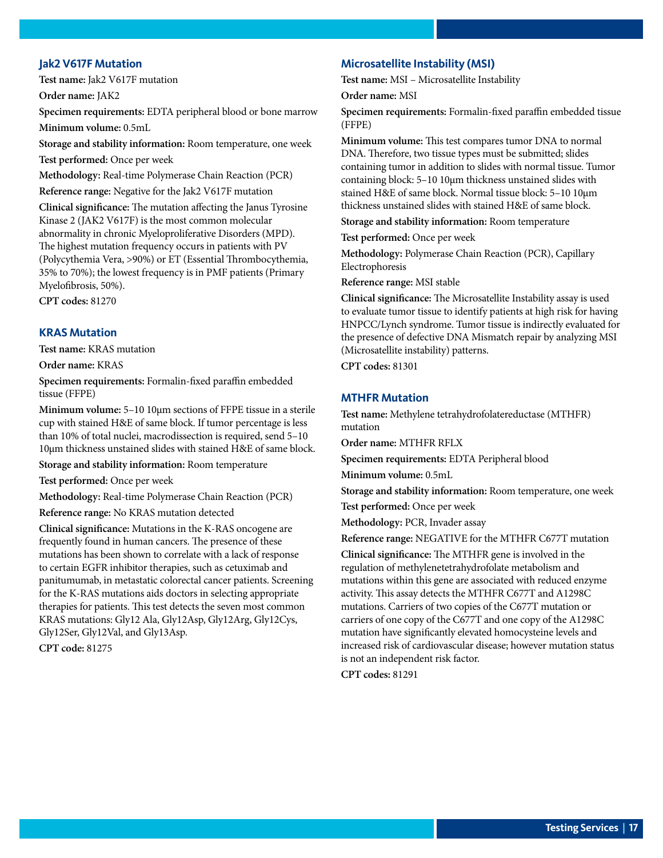#### <span id="page-16-0"></span>**Jak2 V617F Mutation**

**Test name:** Jak2 V617F mutation

**Order name:** JAK2

**Specimen requirements:** EDTA peripheral blood or bone marrow **Minimum volume:** 0.5mL

**Storage and stability information:** Room temperature, one week

**Test performed:** Once per week

**Methodology:** Real-time Polymerase Chain Reaction (PCR)

**Reference range:** Negative for the Jak2 V617F mutation

**Clinical significance:** The mutation affecting the Janus Tyrosine Kinase 2 (JAK2 V617F) is the most common molecular abnormality in chronic Myeloproliferative Disorders (MPD). The highest mutation frequency occurs in patients with PV (Polycythemia Vera, >90%) or ET (Essential Thrombocythemia, 35% to 70%); the lowest frequency is in PMF patients (Primary Myelofibrosis, 50%).

**CPT codes:** 81270

#### **KRAS Mutation**

**Test name:** KRAS mutation

**Order name:** KRAS

**Specimen requirements:** Formalin-fixed paraffin embedded tissue (FFPE)

**Minimum volume:** 5–10 10µm sections of FFPE tissue in a sterile cup with stained H&E of same block. If tumor percentage is less than 10% of total nuclei, macrodissection is required, send 5–10 10µm thickness unstained slides with stained H&E of same block.

**Storage and stability information:** Room temperature

**Test performed:** Once per week

**Methodology:** Real-time Polymerase Chain Reaction (PCR) **Reference range:** No KRAS mutation detected

**Clinical significance:** Mutations in the K-RAS oncogene are

frequently found in human cancers. The presence of these mutations has been shown to correlate with a lack of response to certain EGFR inhibitor therapies, such as cetuximab and panitumumab, in metastatic colorectal cancer patients. Screening for the K-RAS mutations aids doctors in selecting appropriate therapies for patients. This test detects the seven most common KRAS mutations: Gly12 Ala, Gly12Asp, Gly12Arg, Gly12Cys, Gly12Ser, Gly12Val, and Gly13Asp.

**CPT code:** 81275

#### **Microsatellite Instability (MSI)**

**Test name:** MSI – Microsatellite Instability **Order name:** MSI

**Specimen requirements:** Formalin-fixed paraffin embedded tissue (FFPE)

**Minimum volume:** This test compares tumor DNA to normal DNA. Therefore, two tissue types must be submitted; slides containing tumor in addition to slides with normal tissue. Tumor containing block: 5–10 10µm thickness unstained slides with stained H&E of same block. Normal tissue block: 5–10 10µm thickness unstained slides with stained H&E of same block.

**Storage and stability information:** Room temperature

**Test performed:** Once per week

**Methodology:** Polymerase Chain Reaction (PCR), Capillary Electrophoresis

**Reference range:** MSI stable

**Clinical significance:** The Microsatellite Instability assay is used to evaluate tumor tissue to identify patients at high risk for having HNPCC/Lynch syndrome. Tumor tissue is indirectly evaluated for the presence of defective DNA Mismatch repair by analyzing MSI (Microsatellite instability) patterns.

**CPT codes:** 81301

#### **MTHFR Mutation**

**Test name:** Methylene tetrahydrofolatereductase (MTHFR) mutation

**Order name:** MTHFR RFLX

**Specimen requirements:** EDTA Peripheral blood

**Minimum volume:** 0.5mL

**Storage and stability information:** Room temperature, one week

**Test performed:** Once per week

**Methodology:** PCR, Invader assay

**Reference range:** NEGATIVE for the MTHFR C677T mutation

**Clinical significance:** The MTHFR gene is involved in the regulation of methylenetetrahydrofolate metabolism and mutations within this gene are associated with reduced enzyme activity. This assay detects the MTHFR C677T and A1298C mutations. Carriers of two copies of the C677T mutation or carriers of one copy of the C677T and one copy of the A1298C mutation have significantly elevated homocysteine levels and increased risk of cardiovascular disease; however mutation status is not an independent risk factor.

**CPT codes:** 81291